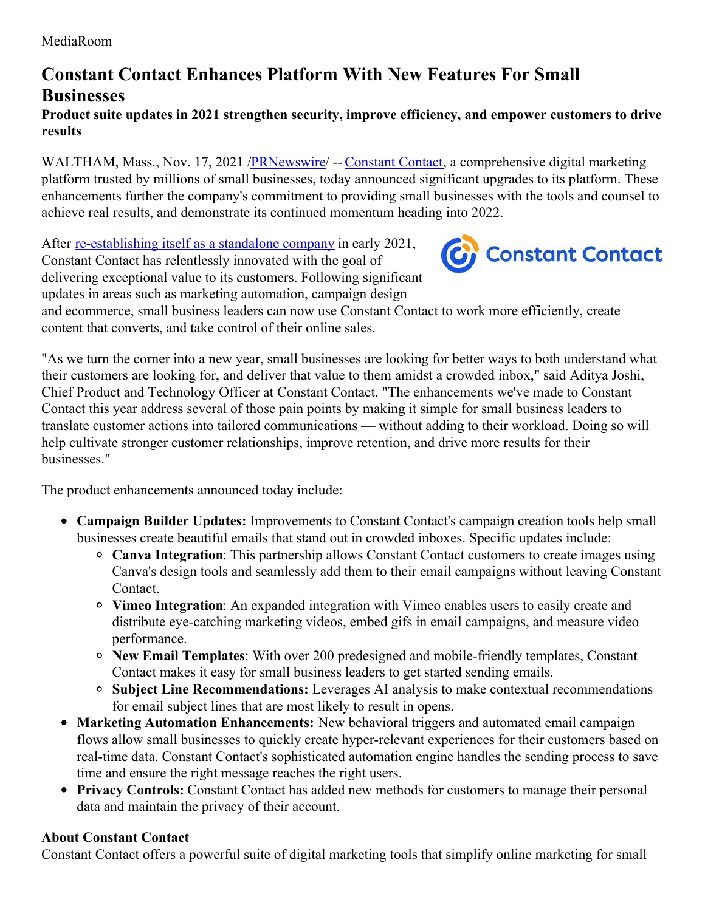## **Constant Contact Enhances Platform With New Features For Small Businesses**

## **Product suite updates in 2021 strengthen security, improve efficiency, and empower customers to drive results**

WALTHAM, Mass., Nov. 17, 2021 [/PRNewswire](http://www.prnewswire.com/)/ -- [Constant](https://c212.net/c/link/?t=0&l=en&o=3361876-1&h=3023486751&u=http%3A%2F%2Fwww.constantcontact.com%2F&a=Constant+Contact) Contact, a comprehensive digital marketing platform trusted by millions of small businesses, today announced significant upgrades to its platform. These enhancements further the company's commitment to providing small businesses with the tools and counsel to achieve real results, and demonstrate its continued momentum heading into 2022.

After <u>[re-establishing](https://c212.net/c/link/?t=0&l=en&o=3361876-1&h=2566762654&u=https%3A%2F%2Fnews.constantcontact.com%2Fclearlake-and-siris-affiliates-re-establish-digital-marketing-industry-pioneer-constant-contact-as-standalone-company&a=re-establishing+itself+as+a+standalone+company) itself as a standalone company</u> in early 2021, Constant Contact has relentlessly innovated with the goal of delivering exceptional value to its customers. Following significant updates in areas such as marketing automation, campaign design



and ecommerce, small business leaders can now use Constant Contact to work more efficiently, create content that converts, and take control of their online sales.

"As we turn the corner into a new year, small businesses are looking for better ways to both understand what their customers are looking for, and deliver that value to them amidst a crowded inbox," said Aditya Joshi, Chief Product and Technology Officer at Constant Contact. "The enhancements we've made to Constant Contact this year address several of those pain points by making it simple for small business leaders to translate customer actions into tailored communications — without adding to their workload. Doing so will help cultivate stronger customer relationships, improve retention, and drive more results for their businesses."

The product enhancements announced today include:

- **Campaign Builder Updates:** Improvements to Constant Contact's campaign creation tools help small businesses create beautiful emails that stand out in crowded inboxes. Specific updates include:
	- **Canva Integration**: This partnership allows Constant Contact customers to create images using Canva's design tools and seamlessly add them to their email campaigns without leaving Constant Contact.
	- **Vimeo Integration**: An expanded integration with Vimeo enables users to easily create and distribute eye-catching marketing videos, embed gifs in email campaigns, and measure video performance.
	- **New Email Templates**: With over 200 predesigned and mobile-friendly templates, Constant Contact makes it easy for small business leaders to get started sending emails.
	- **Subject Line Recommendations:** Leverages AI analysis to make contextual recommendations for email subject lines that are most likely to result in opens.
- **Marketing Automation Enhancements:** New behavioral triggers and automated email campaign flows allow small businesses to quickly create hyper-relevant experiences for their customers based on real-time data. Constant Contact's sophisticated automation engine handles the sending process to save time and ensure the right message reaches the right users.
- **Privacy Controls:** Constant Contact has added new methods for customers to manage their personal data and maintain the privacy of their account.

## **About Constant Contact**

Constant Contact offers a powerful suite of digital marketing tools that simplify online marketing for small